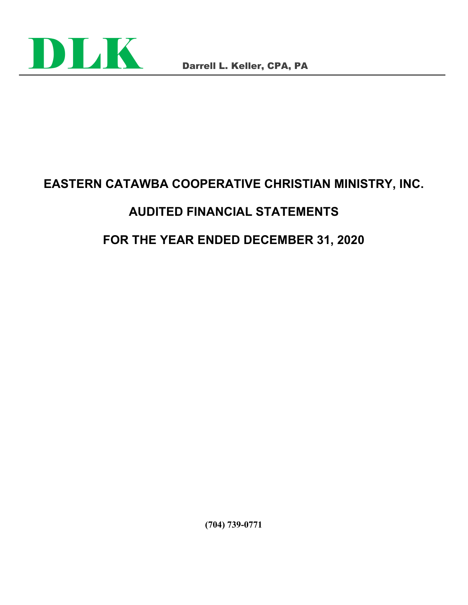

# **EASTERN CATAWBA COOPERATIVE CHRISTIAN MINISTRY, INC.**

# **AUDITED FINANCIAL STATEMENTS**

# **FOR THE YEAR ENDED DECEMBER 31, 2020**

**(704) 739-0771**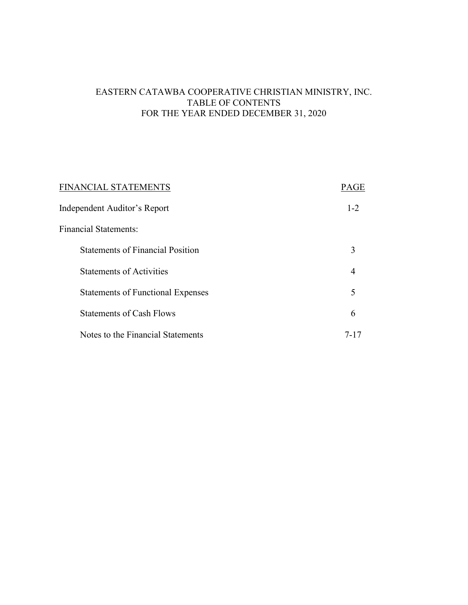# EASTERN CATAWBA COOPERATIVE CHRISTIAN MINISTRY, INC. TABLE OF CONTENTS FOR THE YEAR ENDED DECEMBER 31, 2020

| FINANCIAL STATEMENTS                     | PAGE    |
|------------------------------------------|---------|
| Independent Auditor's Report             | $1 - 2$ |
| <b>Financial Statements:</b>             |         |
| <b>Statements of Financial Position</b>  | 3       |
| <b>Statements of Activities</b>          | 4       |
| <b>Statements of Functional Expenses</b> | 5       |
| <b>Statements of Cash Flows</b>          | 6       |
| Notes to the Financial Statements        | 7-17    |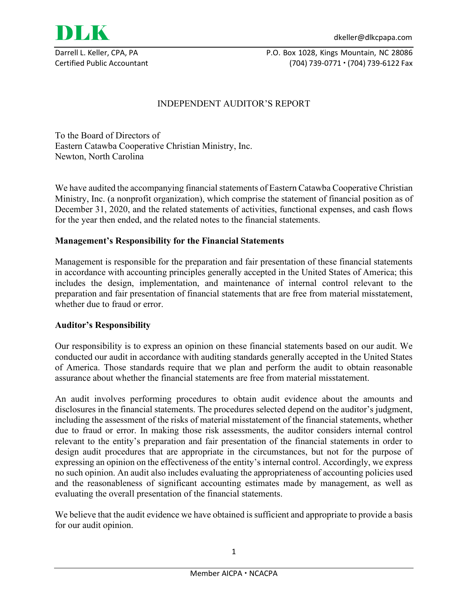

Darrell L. Keller, CPA, PA P.O. Box 1028, Kings Mountain, NC 28086 Certified Public Accountant (704) 739-0771 (704) 739-6122 Fax

# INDEPENDENT AUDITOR'S REPORT

To the Board of Directors of Eastern Catawba Cooperative Christian Ministry, Inc. Newton, North Carolina

We have audited the accompanying financial statements of Eastern Catawba Cooperative Christian Ministry, Inc. (a nonprofit organization), which comprise the statement of financial position as of December 31, 2020, and the related statements of activities, functional expenses, and cash flows for the year then ended, and the related notes to the financial statements.

# **Management's Responsibility for the Financial Statements**

Management is responsible for the preparation and fair presentation of these financial statements in accordance with accounting principles generally accepted in the United States of America; this includes the design, implementation, and maintenance of internal control relevant to the preparation and fair presentation of financial statements that are free from material misstatement, whether due to fraud or error.

# **Auditor's Responsibility**

Our responsibility is to express an opinion on these financial statements based on our audit. We conducted our audit in accordance with auditing standards generally accepted in the United States of America. Those standards require that we plan and perform the audit to obtain reasonable assurance about whether the financial statements are free from material misstatement.

An audit involves performing procedures to obtain audit evidence about the amounts and disclosures in the financial statements. The procedures selected depend on the auditor's judgment, including the assessment of the risks of material misstatement of the financial statements, whether due to fraud or error. In making those risk assessments, the auditor considers internal control relevant to the entity's preparation and fair presentation of the financial statements in order to design audit procedures that are appropriate in the circumstances, but not for the purpose of expressing an opinion on the effectiveness of the entity's internal control. Accordingly, we express no such opinion. An audit also includes evaluating the appropriateness of accounting policies used and the reasonableness of significant accounting estimates made by management, as well as evaluating the overall presentation of the financial statements.

We believe that the audit evidence we have obtained is sufficient and appropriate to provide a basis for our audit opinion.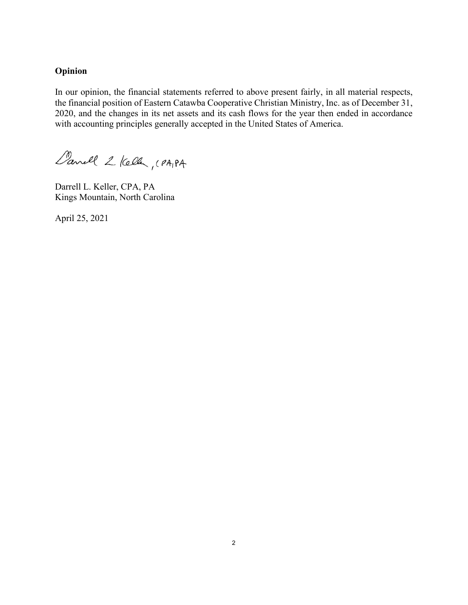# **Opinion**

In our opinion, the financial statements referred to above present fairly, in all material respects, the financial position of Eastern Catawba Cooperative Christian Ministry, Inc. as of December 31, 2020, and the changes in its net assets and its cash flows for the year then ended in accordance with accounting principles generally accepted in the United States of America.

Canell 2 Keller, (PAIPA

Darrell L. Keller, CPA, PA Kings Mountain, North Carolina

April 25, 2021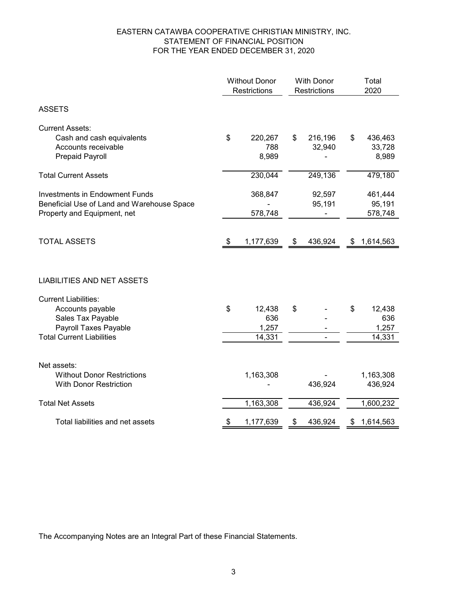# EASTERN CATAWBA COOPERATIVE CHRISTIAN MINISTRY, INC. STATEMENT OF FINANCIAL POSITION FOR THE YEAR ENDED DECEMBER 31, 2020

|                                                                                                                                   | <b>Without Donor</b><br>Restrictions |                                  | <b>With Donor</b><br><b>Restrictions</b> |    | Total<br>2020                    |
|-----------------------------------------------------------------------------------------------------------------------------------|--------------------------------------|----------------------------------|------------------------------------------|----|----------------------------------|
| <b>ASSETS</b>                                                                                                                     |                                      |                                  |                                          |    |                                  |
| <b>Current Assets:</b><br>Cash and cash equivalents<br>Accounts receivable<br><b>Prepaid Payroll</b>                              | \$                                   | 220,267<br>788<br>8,989          | \$<br>216,196<br>32,940                  | \$ | 436,463<br>33,728<br>8,989       |
| <b>Total Current Assets</b>                                                                                                       |                                      | 230,044                          | 249,136                                  |    | 479,180                          |
| <b>Investments in Endowment Funds</b><br>Beneficial Use of Land and Warehouse Space<br>Property and Equipment, net                |                                      | 368,847<br>578,748               | 92,597<br>95,191                         |    | 461,444<br>95,191<br>578,748     |
| <b>TOTAL ASSETS</b>                                                                                                               | - \$                                 | 1,177,639                        | \$<br>436,924                            | \$ | 1,614,563                        |
| <b>LIABILITIES AND NET ASSETS</b>                                                                                                 |                                      |                                  |                                          |    |                                  |
| <b>Current Liabilities:</b><br>Accounts payable<br>Sales Tax Payable<br>Payroll Taxes Payable<br><b>Total Current Liabilities</b> | \$                                   | 12,438<br>636<br>1,257<br>14,331 | \$                                       | \$ | 12,438<br>636<br>1,257<br>14,331 |
| Net assets:<br><b>Without Donor Restrictions</b><br><b>With Donor Restriction</b>                                                 |                                      | 1,163,308                        | 436,924                                  |    | 1,163,308<br>436,924             |
| <b>Total Net Assets</b>                                                                                                           |                                      | 1,163,308                        | 436,924                                  |    | 1,600,232                        |
| Total liabilities and net assets                                                                                                  | \$                                   | 1,177,639                        | \$<br>436,924                            | \$ | 1,614,563                        |

The Accompanying Notes are an Integral Part of these Financial Statements.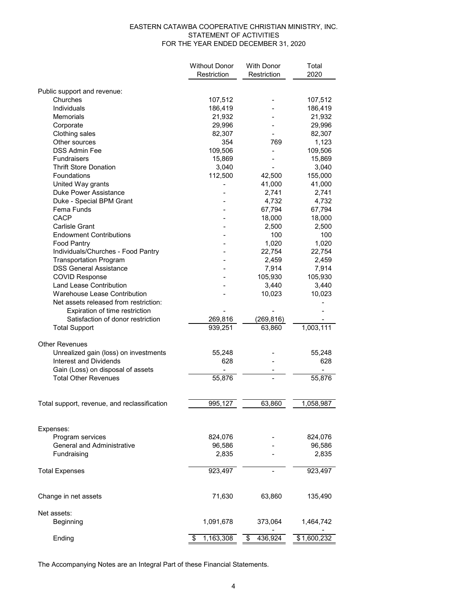#### EASTERN CATAWBA COOPERATIVE CHRISTIAN MINISTRY, INC. STATEMENT OF ACTIVITIES FOR THE YEAR ENDED DECEMBER 31, 2020

|                                              | <b>Without Donor</b> | <b>With Donor</b> | Total       |
|----------------------------------------------|----------------------|-------------------|-------------|
|                                              | Restriction          | Restriction       | 2020        |
|                                              |                      |                   |             |
| Public support and revenue:                  |                      |                   |             |
| Churches                                     | 107,512              |                   | 107,512     |
| Individuals                                  | 186,419              |                   | 186,419     |
| Memorials                                    | 21,932               |                   | 21,932      |
| Corporate                                    | 29,996               |                   | 29,996      |
| Clothing sales                               | 82,307               |                   | 82,307      |
| Other sources                                | 354                  | 769               | 1,123       |
| <b>DSS Admin Fee</b>                         | 109,506              |                   | 109,506     |
| <b>Fundraisers</b>                           | 15,869               |                   | 15,869      |
| <b>Thrift Store Donation</b>                 | 3,040                |                   | 3,040       |
| Foundations                                  | 112,500              | 42,500            | 155,000     |
| United Way grants                            |                      | 41,000            | 41,000      |
| Duke Power Assistance                        |                      | 2,741             | 2,741       |
| Duke - Special BPM Grant                     |                      | 4,732             | 4,732       |
| Fema Funds                                   |                      | 67,794            | 67,794      |
| CACP                                         |                      | 18,000            | 18,000      |
| Carlisle Grant                               |                      | 2,500             | 2,500       |
| <b>Endowment Contributions</b>               |                      | 100               | 100         |
| <b>Food Pantry</b>                           |                      | 1,020             | 1,020       |
| Individuals/Churches - Food Pantry           |                      | 22,754            | 22,754      |
| <b>Transportation Program</b>                |                      | 2,459             | 2,459       |
| <b>DSS General Assistance</b>                |                      | 7,914             | 7,914       |
| <b>COVID Response</b>                        |                      | 105,930           | 105,930     |
| <b>Land Lease Contribution</b>               |                      | 3,440             | 3,440       |
| Warehouse Lease Contribution                 |                      | 10,023            | 10,023      |
| Net assets released from restriction:        |                      |                   |             |
| Expiration of time restriction               |                      |                   |             |
| Satisfaction of donor restriction            | 269,816              | (269, 816)        |             |
| <b>Total Support</b>                         | 939,251              | 63,860            | 1,003,111   |
|                                              |                      |                   |             |
| <b>Other Revenues</b>                        |                      |                   |             |
| Unrealized gain (loss) on investments        | 55,248               |                   | 55,248      |
| Interest and Dividends                       | 628                  |                   | 628         |
| Gain (Loss) on disposal of assets            |                      |                   |             |
| <b>Total Other Revenues</b>                  | 55,876               |                   | 55,876      |
|                                              |                      |                   |             |
|                                              |                      |                   |             |
| Total support, revenue, and reclassification | 995,127              | 63,860            | 1,058,987   |
|                                              |                      |                   |             |
| Expenses:                                    |                      |                   |             |
| Program services                             | 824,076              |                   | 824,076     |
| <b>General and Administrative</b>            | 96,586               |                   | 96,586      |
| Fundraising                                  | 2,835                |                   | 2,835       |
|                                              |                      |                   |             |
| <b>Total Expenses</b>                        | 923,497              |                   | 923,497     |
|                                              |                      |                   |             |
| Change in net assets                         | 71,630               | 63,860            | 135,490     |
|                                              |                      |                   |             |
| Net assets:                                  |                      |                   |             |
| Beginning                                    | 1,091,678            | 373,064           | 1,464,742   |
|                                              |                      |                   |             |
| Ending                                       | 1,163,308<br>\$      | 436,924<br>\$     | \$1,600,232 |

The Accompanying Notes are an Integral Part of these Financial Statements.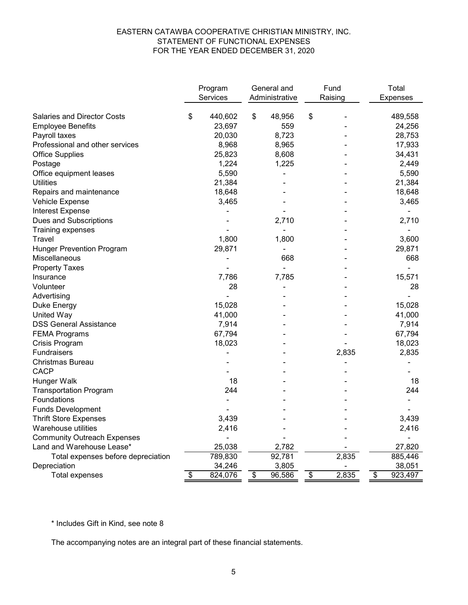# EASTERN CATAWBA COOPERATIVE CHRISTIAN MINISTRY, INC. STATEMENT OF FUNCTIONAL EXPENSES FOR THE YEAR ENDED DECEMBER 31, 2020

|                                                                | Program                 | General and    | Fund        |                                    | Total             |
|----------------------------------------------------------------|-------------------------|----------------|-------------|------------------------------------|-------------------|
|                                                                | Services                | Administrative | Raising     |                                    | <b>Expenses</b>   |
|                                                                |                         | \$             |             |                                    |                   |
| <b>Salaries and Director Costs</b><br><b>Employee Benefits</b> | \$<br>440,602<br>23,697 | 48,956<br>559  | \$          |                                    | 489,558<br>24,256 |
|                                                                |                         | 8,723          |             |                                    |                   |
| Payroll taxes<br>Professional and other services               | 20,030<br>8,968         | 8,965          |             |                                    | 28,753<br>17,933  |
|                                                                |                         |                |             |                                    |                   |
| <b>Office Supplies</b><br>Postage                              | 25,823<br>1,224         | 8,608<br>1,225 |             |                                    | 34,431<br>2,449   |
| Office equipment leases                                        | 5,590                   |                |             |                                    | 5,590             |
| <b>Utilities</b>                                               | 21,384                  |                |             |                                    | 21,384            |
| Repairs and maintenance                                        | 18,648                  |                |             |                                    | 18,648            |
| Vehicle Expense                                                | 3,465                   |                |             |                                    | 3,465             |
| <b>Interest Expense</b>                                        |                         |                |             |                                    |                   |
| Dues and Subscriptions                                         |                         | 2,710          |             |                                    | 2,710             |
| Training expenses                                              |                         |                |             |                                    |                   |
| Travel                                                         | 1,800                   | 1,800          |             |                                    | 3,600             |
| <b>Hunger Prevention Program</b>                               | 29,871                  |                |             |                                    | 29,871            |
| Miscellaneous                                                  |                         | 668            |             |                                    | 668               |
| <b>Property Taxes</b>                                          |                         |                |             |                                    |                   |
| Insurance                                                      | 7,786                   | 7,785          |             |                                    | 15,571            |
| Volunteer                                                      | 28                      |                |             |                                    | 28                |
| Advertising                                                    |                         |                |             |                                    |                   |
| Duke Energy                                                    | 15,028                  |                |             |                                    | 15,028            |
| <b>United Way</b>                                              | 41,000                  |                |             |                                    | 41,000            |
| <b>DSS General Assistance</b>                                  | 7,914                   |                |             |                                    | 7,914             |
| <b>FEMA Programs</b>                                           | 67,794                  |                |             |                                    | 67,794            |
| Crisis Program                                                 | 18,023                  |                |             |                                    | 18,023            |
| Fundraisers                                                    |                         |                | 2,835       |                                    | 2,835             |
| Christmas Bureau                                               |                         |                |             |                                    |                   |
| <b>CACP</b>                                                    |                         |                |             |                                    |                   |
| Hunger Walk                                                    | 18                      |                |             |                                    | 18                |
| <b>Transportation Program</b>                                  | 244                     |                |             |                                    | 244               |
| Foundations                                                    |                         |                |             |                                    |                   |
| <b>Funds Development</b>                                       |                         |                |             |                                    |                   |
| <b>Thrift Store Expenses</b>                                   | 3,439                   |                |             |                                    | 3,439             |
| Warehouse utilities                                            | 2,416                   |                |             |                                    | 2,416             |
| <b>Community Outreach Expenses</b>                             |                         |                |             |                                    |                   |
| Land and Warehouse Lease*                                      | 25,038                  | 2,782          |             |                                    | 27,820            |
| Total expenses before depreciation                             | 789,830                 | 92,781         | 2,835       |                                    | 885,446           |
| Depreciation                                                   | 34,246                  | 3,805          |             |                                    | 38,051            |
| <b>Total expenses</b>                                          | \$<br>824,076           | \$<br>96,586   | \$<br>2,835 | $\overline{\boldsymbol{\epsilon}}$ | 923,497           |

\* Includes Gift in Kind, see note 8

The accompanying notes are an integral part of these financial statements.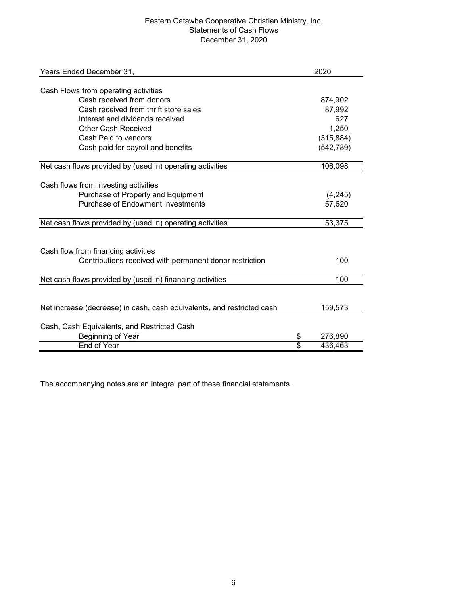# Eastern Catawba Cooperative Christian Ministry, Inc. Statements of Cash Flows December 31, 2020

| Years Ended December 31,                                               |                 | 2020       |
|------------------------------------------------------------------------|-----------------|------------|
|                                                                        |                 |            |
| Cash Flows from operating activities                                   |                 |            |
| Cash received from donors                                              |                 | 874,902    |
| Cash received from thrift store sales                                  |                 | 87,992     |
| Interest and dividends received                                        |                 | 627        |
| <b>Other Cash Received</b>                                             |                 | 1,250      |
| Cash Paid to vendors                                                   |                 | (315, 884) |
| Cash paid for payroll and benefits                                     |                 | (542, 789) |
| Net cash flows provided by (used in) operating activities              |                 | 106,098    |
|                                                                        |                 |            |
| Cash flows from investing activities                                   |                 |            |
| Purchase of Property and Equipment                                     |                 | (4,245)    |
| <b>Purchase of Endowment Investments</b>                               |                 | 57,620     |
| Net cash flows provided by (used in) operating activities              |                 | 53,375     |
|                                                                        |                 |            |
| Cash flow from financing activities                                    |                 |            |
| Contributions received with permanent donor restriction                |                 | 100        |
|                                                                        |                 |            |
| Net cash flows provided by (used in) financing activities              |                 | 100        |
|                                                                        |                 |            |
| Net increase (decrease) in cash, cash equivalents, and restricted cash |                 | 159,573    |
| Cash, Cash Equivalents, and Restricted Cash                            |                 |            |
| Beginning of Year                                                      | \$              | 276,890    |
| <b>End of Year</b>                                                     | $\overline{\$}$ | 436,463    |
|                                                                        |                 |            |

The accompanying notes are an integral part of these financial statements.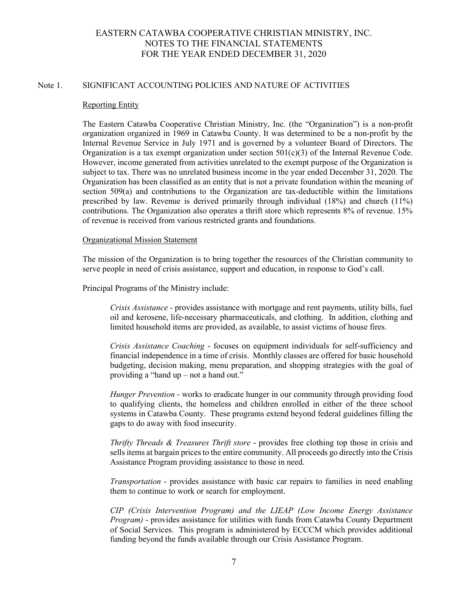## Note 1. SIGNIFICANT ACCOUNTING POLICIES AND NATURE OF ACTIVITIES

#### Reporting Entity

The Eastern Catawba Cooperative Christian Ministry, Inc. (the "Organization") is a non-profit organization organized in 1969 in Catawba County. It was determined to be a non-profit by the Internal Revenue Service in July 1971 and is governed by a volunteer Board of Directors. The Organization is a tax exempt organization under section  $501(c)(3)$  of the Internal Revenue Code. However, income generated from activities unrelated to the exempt purpose of the Organization is subject to tax. There was no unrelated business income in the year ended December 31, 2020. The Organization has been classified as an entity that is not a private foundation within the meaning of section 509(a) and contributions to the Organization are tax-deductible within the limitations prescribed by law. Revenue is derived primarily through individual (18%) and church (11%) contributions. The Organization also operates a thrift store which represents 8% of revenue. 15% of revenue is received from various restricted grants and foundations.

# Organizational Mission Statement

The mission of the Organization is to bring together the resources of the Christian community to serve people in need of crisis assistance, support and education, in response to God's call.

Principal Programs of the Ministry include:

*Crisis Assistance* - provides assistance with mortgage and rent payments, utility bills, fuel oil and kerosene, life-necessary pharmaceuticals, and clothing. In addition, clothing and limited household items are provided, as available, to assist victims of house fires.

*Crisis Assistance Coaching* - focuses on equipment individuals for self-sufficiency and financial independence in a time of crisis. Monthly classes are offered for basic household budgeting, decision making, menu preparation, and shopping strategies with the goal of providing a "hand up – not a hand out."

*Hunger Prevention* - works to eradicate hunger in our community through providing food to qualifying clients, the homeless and children enrolled in either of the three school systems in Catawba County. These programs extend beyond federal guidelines filling the gaps to do away with food insecurity.

*Thrifty Threads & Treasures Thrift store* - provides free clothing top those in crisis and sells items at bargain prices to the entire community. All proceeds go directly into the Crisis Assistance Program providing assistance to those in need.

*Transportation* - provides assistance with basic car repairs to families in need enabling them to continue to work or search for employment.

*CIP (Crisis Intervention Program) and the LIEAP (Low Income Energy Assistance Program)* - provides assistance for utilities with funds from Catawba County Department of Social Services. This program is administered by ECCCM which provides additional funding beyond the funds available through our Crisis Assistance Program.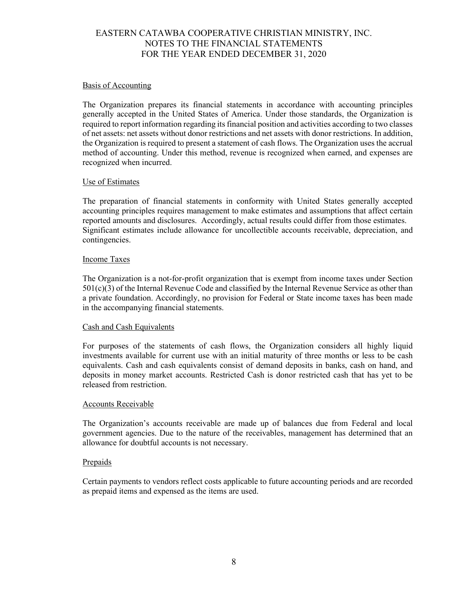### Basis of Accounting

The Organization prepares its financial statements in accordance with accounting principles generally accepted in the United States of America. Under those standards, the Organization is required to report information regarding its financial position and activities according to two classes of net assets: net assets without donor restrictions and net assets with donor restrictions. In addition, the Organization is required to present a statement of cash flows. The Organization uses the accrual method of accounting. Under this method, revenue is recognized when earned, and expenses are recognized when incurred.

## Use of Estimates

The preparation of financial statements in conformity with United States generally accepted accounting principles requires management to make estimates and assumptions that affect certain reported amounts and disclosures. Accordingly, actual results could differ from those estimates. Significant estimates include allowance for uncollectible accounts receivable, depreciation, and contingencies.

## Income Taxes

The Organization is a not-for-profit organization that is exempt from income taxes under Section 501(c)(3) of the Internal Revenue Code and classified by the Internal Revenue Service as other than a private foundation. Accordingly, no provision for Federal or State income taxes has been made in the accompanying financial statements.

#### Cash and Cash Equivalents

For purposes of the statements of cash flows, the Organization considers all highly liquid investments available for current use with an initial maturity of three months or less to be cash equivalents. Cash and cash equivalents consist of demand deposits in banks, cash on hand, and deposits in money market accounts. Restricted Cash is donor restricted cash that has yet to be released from restriction.

#### Accounts Receivable

The Organization's accounts receivable are made up of balances due from Federal and local government agencies. Due to the nature of the receivables, management has determined that an allowance for doubtful accounts is not necessary.

#### Prepaids

Certain payments to vendors reflect costs applicable to future accounting periods and are recorded as prepaid items and expensed as the items are used.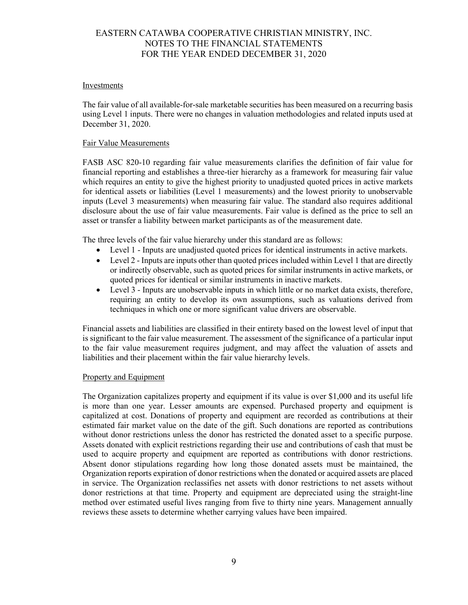## Investments

The fair value of all available-for-sale marketable securities has been measured on a recurring basis using Level 1 inputs. There were no changes in valuation methodologies and related inputs used at December 31, 2020.

### Fair Value Measurements

FASB ASC 820-10 regarding fair value measurements clarifies the definition of fair value for financial reporting and establishes a three-tier hierarchy as a framework for measuring fair value which requires an entity to give the highest priority to unadjusted quoted prices in active markets for identical assets or liabilities (Level 1 measurements) and the lowest priority to unobservable inputs (Level 3 measurements) when measuring fair value. The standard also requires additional disclosure about the use of fair value measurements. Fair value is defined as the price to sell an asset or transfer a liability between market participants as of the measurement date.

The three levels of the fair value hierarchy under this standard are as follows:

- Level 1 Inputs are unadjusted quoted prices for identical instruments in active markets.
- Level 2 Inputs are inputs other than quoted prices included within Level 1 that are directly or indirectly observable, such as quoted prices for similar instruments in active markets, or quoted prices for identical or similar instruments in inactive markets.
- Level 3 Inputs are unobservable inputs in which little or no market data exists, therefore, requiring an entity to develop its own assumptions, such as valuations derived from techniques in which one or more significant value drivers are observable.

Financial assets and liabilities are classified in their entirety based on the lowest level of input that is significant to the fair value measurement. The assessment of the significance of a particular input to the fair value measurement requires judgment, and may affect the valuation of assets and liabilities and their placement within the fair value hierarchy levels.

#### Property and Equipment

The Organization capitalizes property and equipment if its value is over \$1,000 and its useful life is more than one year. Lesser amounts are expensed. Purchased property and equipment is capitalized at cost. Donations of property and equipment are recorded as contributions at their estimated fair market value on the date of the gift. Such donations are reported as contributions without donor restrictions unless the donor has restricted the donated asset to a specific purpose. Assets donated with explicit restrictions regarding their use and contributions of cash that must be used to acquire property and equipment are reported as contributions with donor restrictions. Absent donor stipulations regarding how long those donated assets must be maintained, the Organization reports expiration of donor restrictions when the donated or acquired assets are placed in service. The Organization reclassifies net assets with donor restrictions to net assets without donor restrictions at that time. Property and equipment are depreciated using the straight-line method over estimated useful lives ranging from five to thirty nine years. Management annually reviews these assets to determine whether carrying values have been impaired.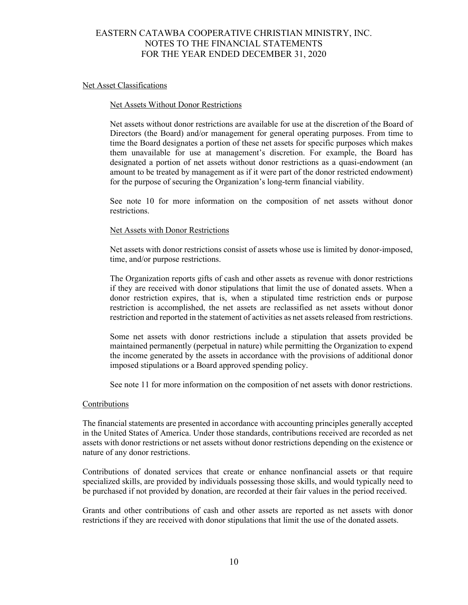### Net Asset Classifications

#### Net Assets Without Donor Restrictions

Net assets without donor restrictions are available for use at the discretion of the Board of Directors (the Board) and/or management for general operating purposes. From time to time the Board designates a portion of these net assets for specific purposes which makes them unavailable for use at management's discretion. For example, the Board has designated a portion of net assets without donor restrictions as a quasi-endowment (an amount to be treated by management as if it were part of the donor restricted endowment) for the purpose of securing the Organization's long-term financial viability.

See note 10 for more information on the composition of net assets without donor restrictions.

#### Net Assets with Donor Restrictions

Net assets with donor restrictions consist of assets whose use is limited by donor-imposed, time, and/or purpose restrictions.

The Organization reports gifts of cash and other assets as revenue with donor restrictions if they are received with donor stipulations that limit the use of donated assets. When a donor restriction expires, that is, when a stipulated time restriction ends or purpose restriction is accomplished, the net assets are reclassified as net assets without donor restriction and reported in the statement of activities as net assets released from restrictions.

Some net assets with donor restrictions include a stipulation that assets provided be maintained permanently (perpetual in nature) while permitting the Organization to expend the income generated by the assets in accordance with the provisions of additional donor imposed stipulations or a Board approved spending policy.

See note 11 for more information on the composition of net assets with donor restrictions.

#### Contributions

The financial statements are presented in accordance with accounting principles generally accepted in the United States of America. Under those standards, contributions received are recorded as net assets with donor restrictions or net assets without donor restrictions depending on the existence or nature of any donor restrictions.

Contributions of donated services that create or enhance nonfinancial assets or that require specialized skills, are provided by individuals possessing those skills, and would typically need to be purchased if not provided by donation, are recorded at their fair values in the period received.

Grants and other contributions of cash and other assets are reported as net assets with donor restrictions if they are received with donor stipulations that limit the use of the donated assets.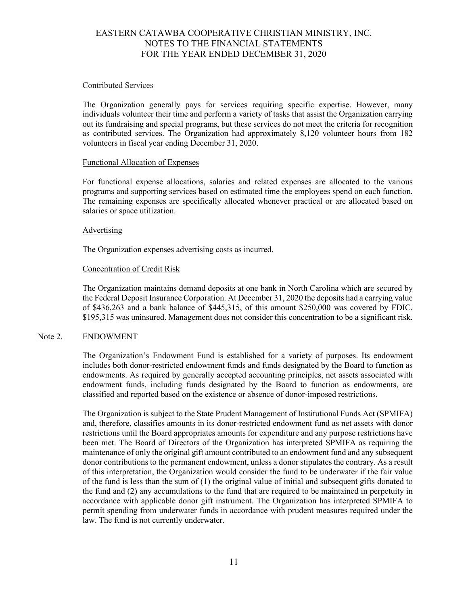### Contributed Services

The Organization generally pays for services requiring specific expertise. However, many individuals volunteer their time and perform a variety of tasks that assist the Organization carrying out its fundraising and special programs, but these services do not meet the criteria for recognition as contributed services. The Organization had approximately 8,120 volunteer hours from 182 volunteers in fiscal year ending December 31, 2020.

## Functional Allocation of Expenses

For functional expense allocations, salaries and related expenses are allocated to the various programs and supporting services based on estimated time the employees spend on each function. The remaining expenses are specifically allocated whenever practical or are allocated based on salaries or space utilization.

## **Advertising**

The Organization expenses advertising costs as incurred.

## Concentration of Credit Risk

The Organization maintains demand deposits at one bank in North Carolina which are secured by the Federal Deposit Insurance Corporation. At December 31, 2020 the deposits had a carrying value of \$436,263 and a bank balance of \$445,315, of this amount \$250,000 was covered by FDIC. \$195,315 was uninsured. Management does not consider this concentration to be a significant risk.

# Note 2. ENDOWMENT

The Organization's Endowment Fund is established for a variety of purposes. Its endowment includes both donor-restricted endowment funds and funds designated by the Board to function as endowments. As required by generally accepted accounting principles, net assets associated with endowment funds, including funds designated by the Board to function as endowments, are classified and reported based on the existence or absence of donor-imposed restrictions.

The Organization is subject to the State Prudent Management of Institutional Funds Act (SPMIFA) and, therefore, classifies amounts in its donor-restricted endowment fund as net assets with donor restrictions until the Board appropriates amounts for expenditure and any purpose restrictions have been met. The Board of Directors of the Organization has interpreted SPMIFA as requiring the maintenance of only the original gift amount contributed to an endowment fund and any subsequent donor contributions to the permanent endowment, unless a donor stipulates the contrary. As a result of this interpretation, the Organization would consider the fund to be underwater if the fair value of the fund is less than the sum of  $(1)$  the original value of initial and subsequent gifts donated to the fund and (2) any accumulations to the fund that are required to be maintained in perpetuity in accordance with applicable donor gift instrument. The Organization has interpreted SPMIFA to permit spending from underwater funds in accordance with prudent measures required under the law. The fund is not currently underwater.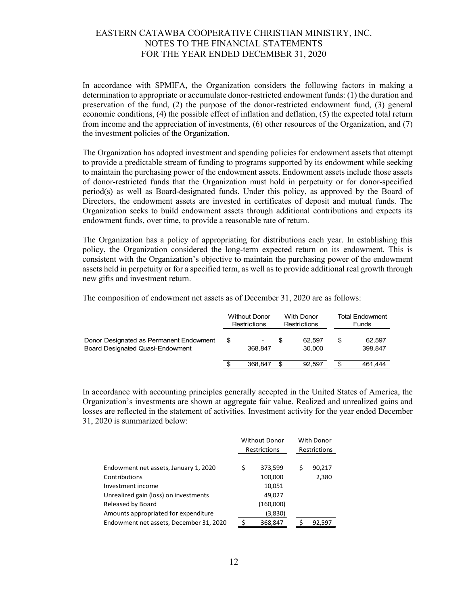In accordance with SPMIFA, the Organization considers the following factors in making a determination to appropriate or accumulate donor-restricted endowment funds: (1) the duration and preservation of the fund, (2) the purpose of the donor-restricted endowment fund, (3) general economic conditions, (4) the possible effect of inflation and deflation, (5) the expected total return from income and the appreciation of investments, (6) other resources of the Organization, and (7) the investment policies of the Organization.

The Organization has adopted investment and spending policies for endowment assets that attempt to provide a predictable stream of funding to programs supported by its endowment while seeking to maintain the purchasing power of the endowment assets. Endowment assets include those assets of donor-restricted funds that the Organization must hold in perpetuity or for donor-specified period(s) as well as Board-designated funds. Under this policy, as approved by the Board of Directors, the endowment assets are invested in certificates of deposit and mutual funds. The Organization seeks to build endowment assets through additional contributions and expects its endowment funds, over time, to provide a reasonable rate of return.

The Organization has a policy of appropriating for distributions each year. In establishing this policy, the Organization considered the long-term expected return on its endowment. This is consistent with the Organization's objective to maintain the purchasing power of the endowment assets held in perpetuity or for a specified term, as well as to provide additional real growth through new gifts and investment return.

|                                                                             | <b>Without Donor</b><br>Restrictions |         | With Donor<br><b>Restrictions</b> |                  | Total Endowment<br>Funds |                   |
|-----------------------------------------------------------------------------|--------------------------------------|---------|-----------------------------------|------------------|--------------------------|-------------------|
| Donor Designated as Permanent Endowment<br>Board Designated Quasi-Endowment | S                                    | 368.847 | S                                 | 62.597<br>30.000 |                          | 62.597<br>398.847 |
|                                                                             |                                      | 368.847 |                                   | 92.597           |                          | 461.444           |

The composition of endowment net assets as of December 31, 2020 are as follows:

In accordance with accounting principles generally accepted in the United States of America, the Organization's investments are shown at aggregate fair value. Realized and unrealized gains and losses are reflected in the statement of activities. Investment activity for the year ended December 31, 2020 is summarized below:

|                                         | <b>Without Donor</b><br><b>Restrictions</b> |           |   | With Donor<br>Restrictions |
|-----------------------------------------|---------------------------------------------|-----------|---|----------------------------|
| Endowment net assets, January 1, 2020   | \$                                          | 373,599   | Ś | 90,217                     |
| Contributions                           |                                             | 100,000   |   | 2,380                      |
| Investment income                       |                                             | 10,051    |   |                            |
| Unrealized gain (loss) on investments   |                                             | 49,027    |   |                            |
| Released by Board                       |                                             | (160,000) |   |                            |
| Amounts appropriated for expenditure    |                                             | (3,830)   |   |                            |
| Endowment net assets, December 31, 2020 |                                             | 368,847   |   | 92,597                     |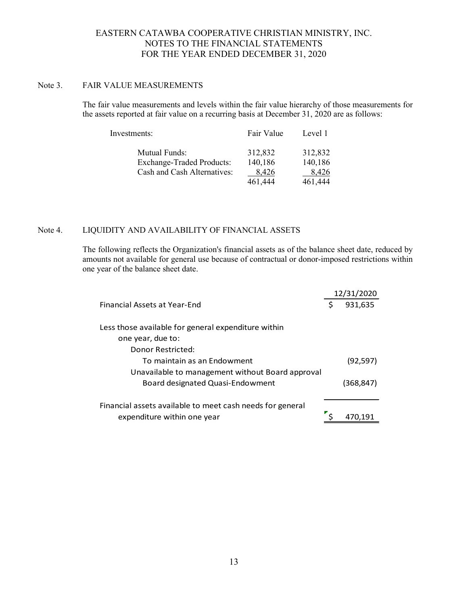### Note 3. FAIR VALUE MEASUREMENTS

The fair value measurements and levels within the fair value hierarchy of those measurements for the assets reported at fair value on a recurring basis at December 31, 2020 are as follows:

| Investments:                     | Fair Value | Level 1 |
|----------------------------------|------------|---------|
| <b>Mutual Funds:</b>             | 312,832    | 312,832 |
| <b>Exchange-Traded Products:</b> | 140,186    | 140,186 |
| Cash and Cash Alternatives:      | 8,426      | 8,426   |
|                                  | 461,444    | 461,444 |

# Note 4. LIQUIDITY AND AVAILABILITY OF FINANCIAL ASSETS

The following reflects the Organization's financial assets as of the balance sheet date, reduced by amounts not available for general use because of contractual or donor-imposed restrictions within one year of the balance sheet date.

|                                                           |   | 12/31/2020 |
|-----------------------------------------------------------|---|------------|
| Financial Assets at Year-End                              | Ś | 931,635    |
| Less those available for general expenditure within       |   |            |
| one year, due to:                                         |   |            |
| Donor Restricted:                                         |   |            |
| To maintain as an Endowment                               |   | (92, 597)  |
| Unavailable to management without Board approval          |   |            |
| Board designated Quasi-Endowment                          |   | (368,847)  |
| Financial assets available to meet cash needs for general |   |            |
| expenditure within one year                               |   |            |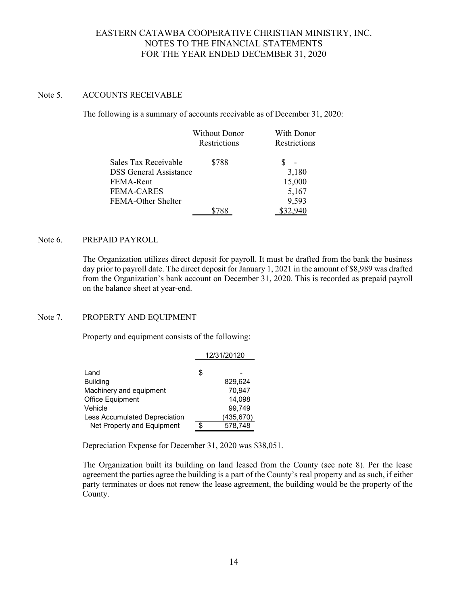# Note 5. ACCOUNTS RECEIVABLE

The following is a summary of accounts receivable as of December 31, 2020:

|                               | <b>Without Donor</b> | With Donor   |
|-------------------------------|----------------------|--------------|
|                               | Restrictions         | Restrictions |
| Sales Tax Receivable          | \$788                |              |
| <b>DSS</b> General Assistance |                      | 3,180        |
| FEMA-Rent                     |                      | 15,000       |
| <b>FEMA-CARES</b>             |                      | 5,167        |
| FEMA-Other Shelter            |                      | 9,593        |
|                               |                      |              |

# Note 6. PREPAID PAYROLL

The Organization utilizes direct deposit for payroll. It must be drafted from the bank the business day prior to payroll date. The direct deposit for January 1, 2021 in the amount of \$8,989 was drafted from the Organization's bank account on December 31, 2020. This is recorded as prepaid payroll on the balance sheet at year-end.

# Note 7. PROPERTY AND EQUIPMENT

Property and equipment consists of the following:

|                               | 12/31/20120 |            |  |  |  |
|-------------------------------|-------------|------------|--|--|--|
|                               |             |            |  |  |  |
| Land                          | \$          |            |  |  |  |
| <b>Building</b>               |             | 829.624    |  |  |  |
| Machinery and equipment       |             | 70,947     |  |  |  |
| Office Equipment              |             | 14.098     |  |  |  |
| Vehicle                       |             | 99.749     |  |  |  |
| Less Accumulated Depreciation |             | (435, 670) |  |  |  |
| Net Property and Equipment    | ¢           | 578,748    |  |  |  |

Depreciation Expense for December 31, 2020 was \$38,051.

The Organization built its building on land leased from the County (see note 8). Per the lease agreement the parties agree the building is a part of the County's real property and as such, if either party terminates or does not renew the lease agreement, the building would be the property of the County.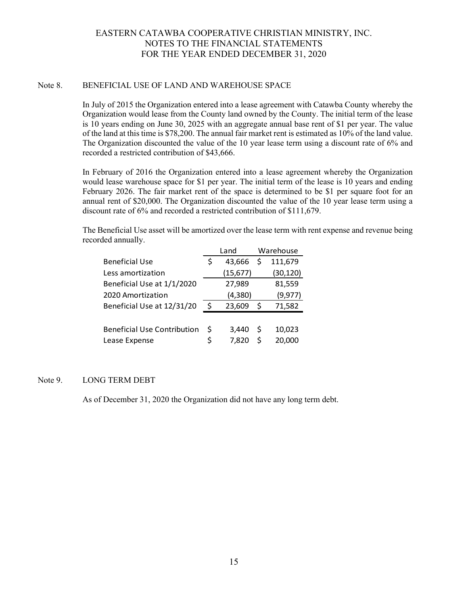# Note 8. BENEFICIAL USE OF LAND AND WAREHOUSE SPACE

In July of 2015 the Organization entered into a lease agreement with Catawba County whereby the Organization would lease from the County land owned by the County. The initial term of the lease is 10 years ending on June 30, 2025 with an aggregate annual base rent of \$1 per year. The value of the land at this time is \$78,200. The annual fair market rent is estimated as 10% of the land value. The Organization discounted the value of the 10 year lease term using a discount rate of 6% and recorded a restricted contribution of \$43,666.

In February of 2016 the Organization entered into a lease agreement whereby the Organization would lease warehouse space for \$1 per year. The initial term of the lease is 10 years and ending February 2026. The fair market rent of the space is determined to be \$1 per square foot for an annual rent of \$20,000. The Organization discounted the value of the 10 year lease term using a discount rate of 6% and recorded a restricted contribution of \$111,679.

The Beneficial Use asset will be amortized over the lease term with rent expense and revenue being recorded annually.

|                                    |    | Land      |   | Warehouse |
|------------------------------------|----|-----------|---|-----------|
| <b>Beneficial Use</b>              | Ş  | 43,666    | Ś | 111,679   |
| Less amortization                  |    | (15, 677) |   | (30, 120) |
| Beneficial Use at 1/1/2020         |    | 27,989    |   | 81,559    |
| 2020 Amortization                  |    | (4,380)   |   | (9, 977)  |
| Beneficial Use at 12/31/20         | Ś. | 23,609    | Ŝ | 71,582    |
|                                    |    |           |   |           |
| <b>Beneficial Use Contribution</b> | \$ | 3,440     | S | 10,023    |
| Lease Expense                      | \$ | 7,820     | Ś | 20,000    |

# Note 9. LONG TERM DEBT

As of December 31, 2020 the Organization did not have any long term debt.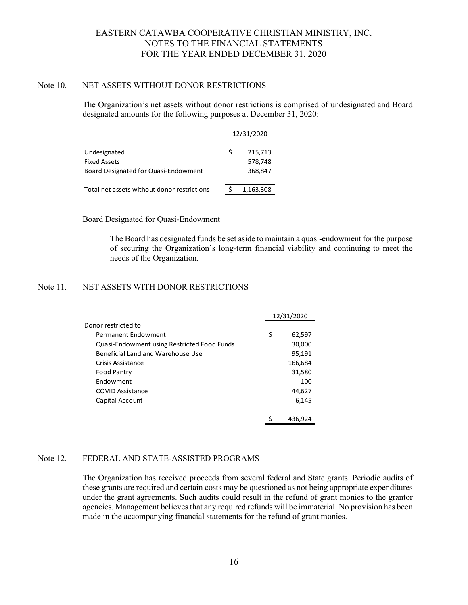### Note 10. NET ASSETS WITHOUT DONOR RESTRICTIONS

The Organization's net assets without donor restrictions is comprised of undesignated and Board designated amounts for the following purposes at December 31, 2020:

|                                             |   | 12/31/2020 |  |
|---------------------------------------------|---|------------|--|
| Undesignated                                | Ś | 215,713    |  |
| <b>Fixed Assets</b>                         |   | 578,748    |  |
| Board Designated for Quasi-Endowment        |   | 368,847    |  |
| Total net assets without donor restrictions |   | 1,163,308  |  |

### Board Designated for Quasi-Endowment

The Board has designated funds be set aside to maintain a quasi-endowment for the purpose of securing the Organization's long-term financial viability and continuing to meet the needs of the Organization.

### Note 11. NET ASSETS WITH DONOR RESTRICTIONS

|                                             | 12/31/2020 |         |
|---------------------------------------------|------------|---------|
| Donor restricted to:                        |            |         |
| Permanent Endowment                         | \$         | 62,597  |
| Quasi-Endowment using Restricted Food Funds |            | 30,000  |
| Beneficial Land and Warehouse Use           |            | 95,191  |
| Crisis Assistance                           |            | 166,684 |
| <b>Food Pantry</b>                          |            | 31,580  |
| <b>Fndowment</b>                            |            | 100     |
| <b>COVID Assistance</b>                     |            | 44,627  |
| Capital Account                             |            | 6,145   |
|                                             |            |         |
|                                             | \$         | 436,924 |

# Note 12. FEDERAL AND STATE-ASSISTED PROGRAMS

The Organization has received proceeds from several federal and State grants. Periodic audits of these grants are required and certain costs may be questioned as not being appropriate expenditures under the grant agreements. Such audits could result in the refund of grant monies to the grantor agencies. Management believes that any required refunds will be immaterial. No provision has been made in the accompanying financial statements for the refund of grant monies.